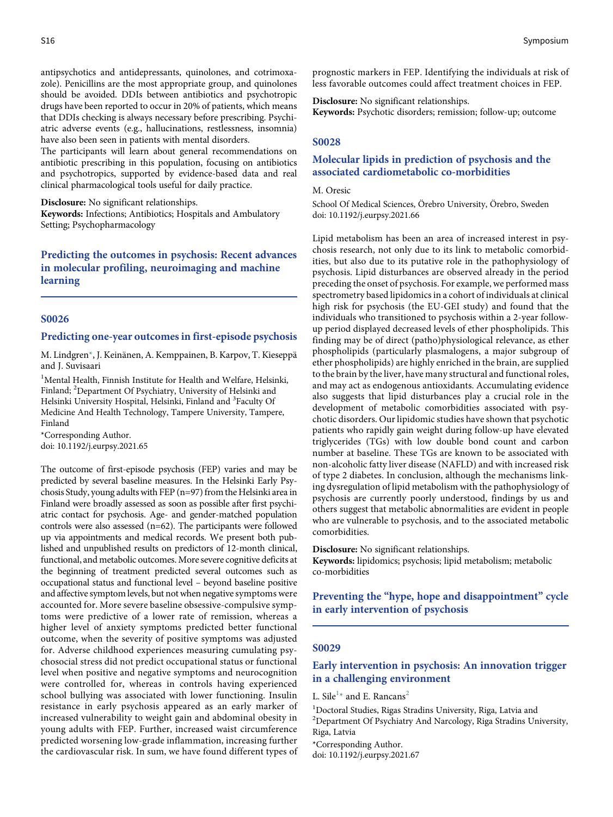antipsychotics and antidepressants, quinolones, and cotrimoxazole). Penicillins are the most appropriate group, and quinolones should be avoided. DDIs between antibiotics and psychotropic drugs have been reported to occur in 20% of patients, which means that DDIs checking is always necessary before prescribing. Psychiatric adverse events (e.g., hallucinations, restlessness, insomnia) have also been seen in patients with mental disorders.

The participants will learn about general recommendations on antibiotic prescribing in this population, focusing on antibiotics and psychotropics, supported by evidence-based data and real clinical pharmacological tools useful for daily practice.

Disclosure: No significant relationships.

Keywords: Infections; Antibiotics; Hospitals and Ambulatory Setting; Psychopharmacology

Predicting the outcomes in psychosis: Recent advances in molecular profiling, neuroimaging and machine learning

## S0026

### Predicting one-year outcomes in first-episode psychosis

M. Lindgren\*, J. Keinänen, A. Kemppainen, B. Karpov, T. Kieseppä and J. Suvisaari

<sup>1</sup>Mental Health, Finnish Institute for Health and Welfare, Helsinki, Finland; <sup>2</sup>Department Of Psychiatry, University of Helsinki and Helsinki University Hospital, Helsinki, Finland and <sup>3</sup>Faculty Of Medicine And Health Technology, Tampere University, Tampere, Finland

\*Corresponding Author. doi: 10.1192/j.eurpsy.2021.65

The outcome of first-episode psychosis (FEP) varies and may be predicted by several baseline measures. In the Helsinki Early Psychosis Study, young adults with FEP (n=97) from the Helsinki area in Finland were broadly assessed as soon as possible after first psychiatric contact for psychosis. Age- and gender-matched population controls were also assessed (n=62). The participants were followed up via appointments and medical records. We present both published and unpublished results on predictors of 12-month clinical, functional, and metabolic outcomes. More severe cognitive deficits at the beginning of treatment predicted several outcomes such as occupational status and functional level – beyond baseline positive and affective symptom levels, but not when negative symptoms were accounted for. More severe baseline obsessive-compulsive symptoms were predictive of a lower rate of remission, whereas a higher level of anxiety symptoms predicted better functional outcome, when the severity of positive symptoms was adjusted for. Adverse childhood experiences measuring cumulating psychosocial stress did not predict occupational status or functional level when positive and negative symptoms and neurocognition were controlled for, whereas in controls having experienced school bullying was associated with lower functioning. Insulin resistance in early psychosis appeared as an early marker of increased vulnerability to weight gain and abdominal obesity in young adults with FEP. Further, increased waist circumference predicted worsening low-grade inflammation, increasing further the cardiovascular risk. In sum, we have found different types of prognostic markers in FEP. Identifying the individuals at risk of less favorable outcomes could affect treatment choices in FEP.

Disclosure: No significant relationships. Keywords: Psychotic disorders; remission; follow-up; outcome

### S0028

# Molecular lipids in prediction of psychosis and the associated cardiometabolic co-morbidities

### M. Oresic

School Of Medical Sciences, Örebro University, Örebro, Sweden doi: 10.1192/j.eurpsy.2021.66

Lipid metabolism has been an area of increased interest in psychosis research, not only due to its link to metabolic comorbidities, but also due to its putative role in the pathophysiology of psychosis. Lipid disturbances are observed already in the period preceding the onset of psychosis. For example, we performed mass spectrometry based lipidomics in a cohort of individuals at clinical high risk for psychosis (the EU-GEI study) and found that the individuals who transitioned to psychosis within a 2-year followup period displayed decreased levels of ether phospholipids. This finding may be of direct (patho)physiological relevance, as ether phospholipids (particularly plasmalogens, a major subgroup of ether phospholipids) are highly enriched in the brain, are supplied to the brain by the liver, have many structural and functional roles, and may act as endogenous antioxidants. Accumulating evidence also suggests that lipid disturbances play a crucial role in the development of metabolic comorbidities associated with psychotic disorders. Our lipidomic studies have shown that psychotic patients who rapidly gain weight during follow-up have elevated triglycerides (TGs) with low double bond count and carbon number at baseline. These TGs are known to be associated with non-alcoholic fatty liver disease (NAFLD) and with increased risk of type 2 diabetes. In conclusion, although the mechanisms linking dysregulation of lipid metabolism with the pathophysiology of psychosis are currently poorly understood, findings by us and others suggest that metabolic abnormalities are evident in people who are vulnerable to psychosis, and to the associated metabolic comorbidities.

Disclosure: No significant relationships.

Keywords: lipidomics; psychosis; lipid metabolism; metabolic co-morbidities

Preventing the "hype, hope and disappointment" cycle in early intervention of psychosis

# S0029

# Early intervention in psychosis: An innovation trigger in a challenging environment

L. Sile<sup>1\*</sup> and E. Rancans<sup>2</sup>

<sup>1</sup>Doctoral Studies, Rigas Stradins University, Riga, Latvia and

2 Department Of Psychiatry And Narcology, Riga Stradins University, Riga, Latvia

\*Corresponding Author.

doi: 10.1192/j.eurpsy.2021.67